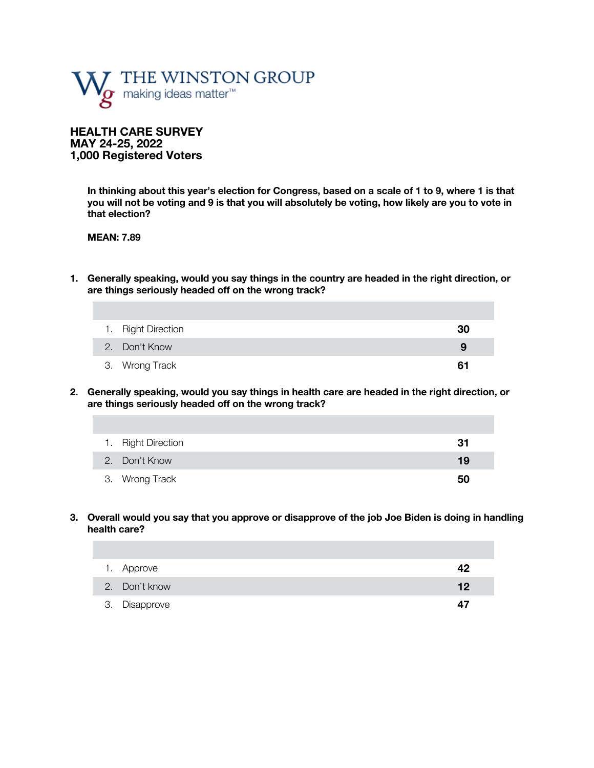

**HEALTH CARE SURVEY MAY 24-25, 2022 1,000 Registered Voters**

> **In thinking about this year's election for Congress, based on a scale of 1 to 9, where 1 is that you will not be voting and 9 is that you will absolutely be voting, how likely are you to vote in that election?**

**MEAN: 7.89**

**1. Generally speaking, would you say things in the country are headed in the right direction, or are things seriously headed off on the wrong track?** 

| 1. Right Direction | 30 |
|--------------------|----|
| 2. Don't Know      | 9  |
| 3. Wrong Track     | 61 |

**2. Generally speaking, would you say things in health care are headed in the right direction, or are things seriously headed off on the wrong track?** 

| 1. Right Direction | -31 |
|--------------------|-----|
| 2. Don't Know      | 19  |
| 3. Wrong Track     | 50  |

**3. Overall would you say that you approve or disapprove of the job Joe Biden is doing in handling health care?**

| 1. Approve    | 42 |
|---------------|----|
| 2. Don't know | 12 |
| 3. Disapprove | 47 |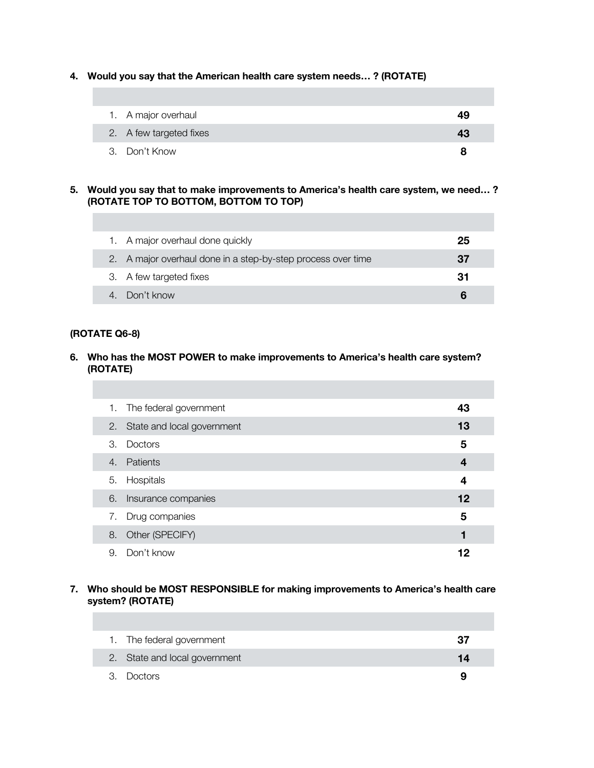**4. Would you say that the American health care system needs… ? (ROTATE)**

| 1. A major overhaul     | 49 |
|-------------------------|----|
| 2. A few targeted fixes | 43 |
| 3. Don't Know           |    |

#### **5. Would you say that to make improvements to America's health care system, we need… ? (ROTATE TOP TO BOTTOM, BOTTOM TO TOP)**

| 1. A major overhaul done quickly                             | 25 |
|--------------------------------------------------------------|----|
| 2. A major overhaul done in a step-by-step process over time | 37 |
| 3. A few targeted fixes                                      | 31 |
| 4. Don't know                                                |    |

### **(ROTATE Q6-8)**

### **6. Who has the MOST POWER to make improvements to America's health care system? (ROTATE)**

|    | 1. The federal government     | 43 |
|----|-------------------------------|----|
|    | 2. State and local government | 13 |
| 3. | Doctors                       | 5  |
| 4. | Patients                      | 4  |
|    | 5. Hospitals                  | 4  |
| 6. | Insurance companies           | 12 |
|    | 7. Drug companies             | 5  |
| 8. | Other (SPECIFY)               |    |
| 9. | Don't know                    | 12 |

### **7. Who should be MOST RESPONSIBLE for making improvements to America's health care system? (ROTATE)**

| 1. The federal government     | 37 |
|-------------------------------|----|
| 2. State and local government |    |
| 3. Doctors                    | q  |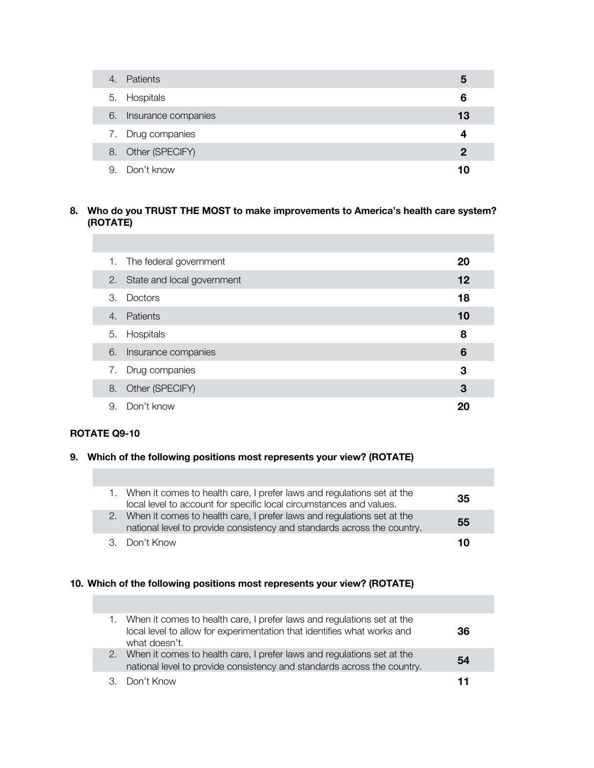| 4. | Patients            | 5           |
|----|---------------------|-------------|
|    | 5. Hospitals        | 6           |
| 6. | Insurance companies | 13          |
|    | 7. Drug companies   |             |
|    | 8. Other (SPECIFY)  | $\mathbf 2$ |
|    | 9. Don't know       | 10          |

## **8. Who do you TRUST THE MOST to make improvements to America's health care system? (ROTATE)**

| 1. | The federal government        | 20 |
|----|-------------------------------|----|
|    | 2. State and local government | 12 |
| 3. | Doctors                       | 18 |
| 4. | Patients                      | 10 |
|    | 5. Hospitals                  | 8  |
| 6. | Insurance companies           | 6  |
| 7. | Drug companies                | 3  |
| 8. | Other (SPECIFY)               | 3  |
| 9. | Don't know                    |    |

### **ROTATE Q9-10**

### **9. Which of the following positions most represents your view? (ROTATE)**

| 1. When it comes to health care, I prefer laws and regulations set at the<br>local level to account for specific local circumstances and values.     | 35 |
|------------------------------------------------------------------------------------------------------------------------------------------------------|----|
| 2. When it comes to health care, I prefer laws and regulations set at the<br>national level to provide consistency and standards across the country. | 55 |
| 3. Don't Know                                                                                                                                        | 10 |

## **10. Which of the following positions most represents your view? (ROTATE)**

|  | 1. When it comes to health care, I prefer laws and regulations set at the<br>local level to allow for experimentation that identifies what works and<br>what doesn't. | 36 |  |
|--|-----------------------------------------------------------------------------------------------------------------------------------------------------------------------|----|--|
|  | 2. When it comes to health care, I prefer laws and regulations set at the<br>national level to provide consistency and standards across the country.                  | 54 |  |
|  | 3. Don't Know                                                                                                                                                         |    |  |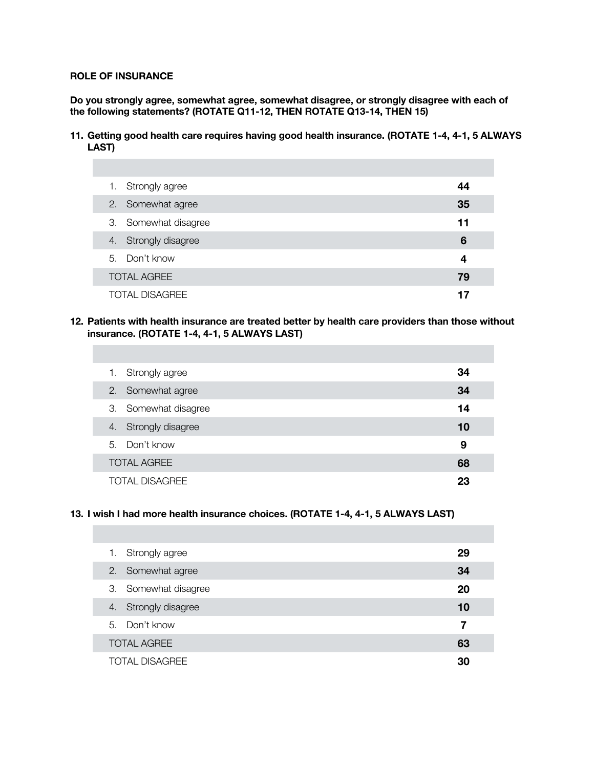### **ROLE OF INSURANCE**

**Do you strongly agree, somewhat agree, somewhat disagree, or strongly disagree with each of the following statements? (ROTATE Q11-12, THEN ROTATE Q13-14, THEN 15)**

**11. Getting good health care requires having good health insurance. (ROTATE 1-4, 4-1, 5 ALWAYS LAST)**

| Strongly agree<br>1.  | 44 |
|-----------------------|----|
| 2. Somewhat agree     | 35 |
| 3. Somewhat disagree  | 11 |
| 4. Strongly disagree  | 6  |
| 5. Don't know         | 4  |
| <b>TOTAL AGREE</b>    | 79 |
| <b>TOTAL DISAGREE</b> |    |

**12. Patients with health insurance are treated better by health care providers than those without insurance. (ROTATE 1-4, 4-1, 5 ALWAYS LAST)**

| Strongly agree<br>1.    | 34 |
|-------------------------|----|
| 2. Somewhat agree       | 34 |
| 3. Somewhat disagree    | 14 |
| Strongly disagree<br>4. | 10 |
| 5. Don't know           | 9  |
| <b>TOTAL AGREE</b>      | 68 |
| TOTAL DISAGREE          | 23 |

### **13. I wish I had more health insurance choices. (ROTATE 1-4, 4-1, 5 ALWAYS LAST)**

| 1. Strongly agree     | 29 |
|-----------------------|----|
| 2. Somewhat agree     | 34 |
| 3. Somewhat disagree  | 20 |
| 4. Strongly disagree  | 10 |
| 5. Don't know         | 7  |
| <b>TOTAL AGREE</b>    | 63 |
| <b>TOTAL DISAGREE</b> | 30 |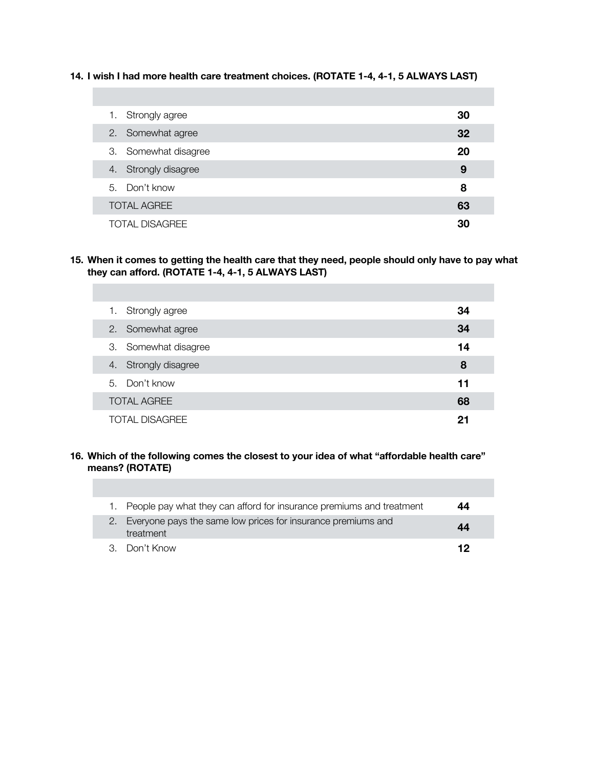**14. I wish I had more health care treatment choices. (ROTATE 1-4, 4-1, 5 ALWAYS LAST)**

| 1. Strongly agree     | 30 |
|-----------------------|----|
| 2. Somewhat agree     | 32 |
| 3. Somewhat disagree  | 20 |
| 4. Strongly disagree  | 9  |
| 5. Don't know         | 8  |
| <b>TOTAL AGREE</b>    | 63 |
| <b>TOTAL DISAGREE</b> | 30 |

**15. When it comes to getting the health care that they need, people should only have to pay what they can afford. (ROTATE 1-4, 4-1, 5 ALWAYS LAST)**

| 1. Strongly agree     | 34 |
|-----------------------|----|
| 2. Somewhat agree     | 34 |
| 3. Somewhat disagree  | 14 |
| 4. Strongly disagree  | 8  |
| 5. Don't know         | 11 |
| <b>TOTAL AGREE</b>    | 68 |
| <b>TOTAL DISAGREE</b> | 21 |

### **16. Which of the following comes the closest to your idea of what "affordable health care" means? (ROTATE)**

П

| 1. People pay what they can afford for insurance premiums and treatment      | 44 |
|------------------------------------------------------------------------------|----|
| 2. Everyone pays the same low prices for insurance premiums and<br>treatment | 44 |
| 3. Don't Know                                                                | 12 |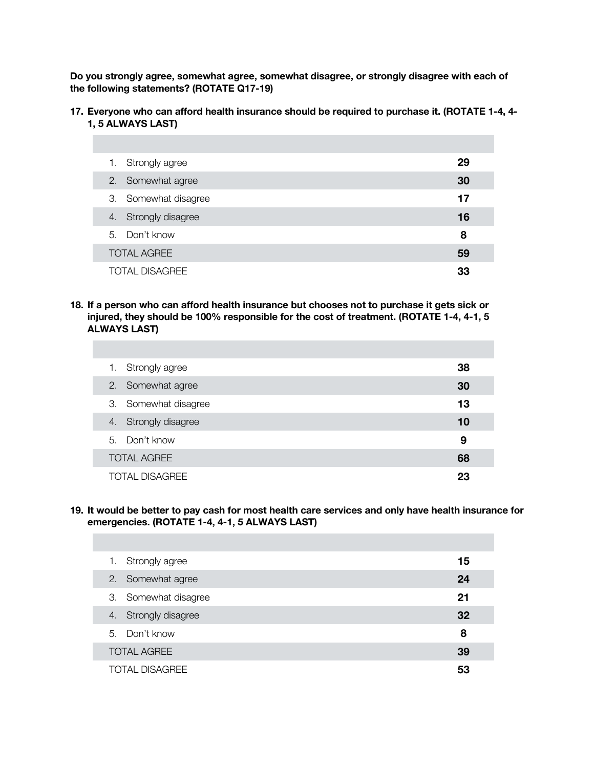**Do you strongly agree, somewhat agree, somewhat disagree, or strongly disagree with each of the following statements? (ROTATE Q17-19)**

**17. Everyone who can afford health insurance should be required to purchase it. (ROTATE 1-4, 4- 1, 5 ALWAYS LAST)**

| 1. Strongly agree     | 29 |
|-----------------------|----|
| 2. Somewhat agree     | 30 |
| 3. Somewhat disagree  | 17 |
| 4. Strongly disagree  | 16 |
| 5. Don't know         | 8  |
| <b>TOTAL AGREE</b>    | 59 |
| <b>TOTAL DISAGREE</b> | 33 |

**18. If a person who can afford health insurance but chooses not to purchase it gets sick or injured, they should be 100% responsible for the cost of treatment. (ROTATE 1-4, 4-1, 5 ALWAYS LAST)**

| 1. Strongly agree    | 38 |
|----------------------|----|
| 2. Somewhat agree    | 30 |
| 3. Somewhat disagree | 13 |
| 4. Strongly disagree | 10 |
| 5. Don't know        | 9  |
| <b>TOTAL AGREE</b>   | 68 |
| TOTAL DISAGREE       | 23 |

**19. It would be better to pay cash for most health care services and only have health insurance for emergencies. (ROTATE 1-4, 4-1, 5 ALWAYS LAST)**

| 1. Strongly agree     | 15 |
|-----------------------|----|
| 2. Somewhat agree     | 24 |
| 3. Somewhat disagree  | 21 |
| 4. Strongly disagree  | 32 |
| 5. Don't know         | 8  |
| <b>TOTAL AGREE</b>    | 39 |
| <b>TOTAL DISAGREE</b> | 53 |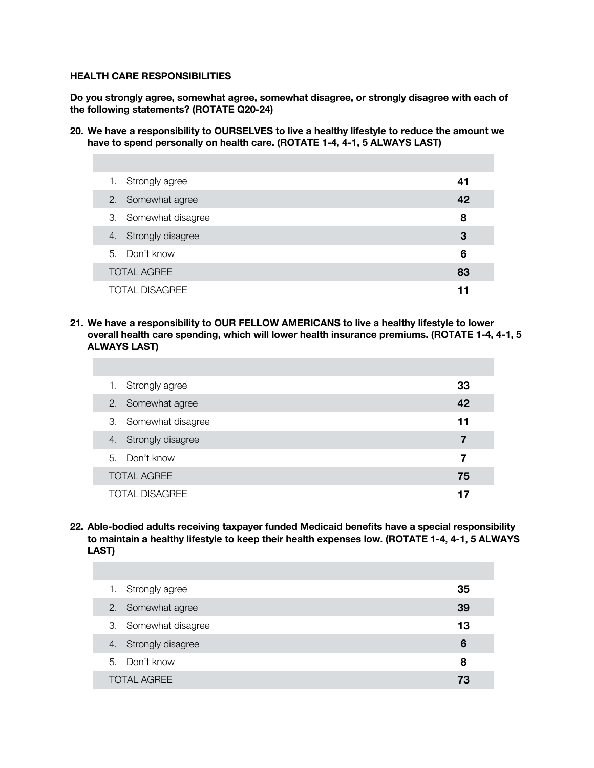#### **HEALTH CARE RESPONSIBILITIES**

**Do you strongly agree, somewhat agree, somewhat disagree, or strongly disagree with each of the following statements? (ROTATE Q20-24)**

**20. We have a responsibility to OURSELVES to live a healthy lifestyle to reduce the amount we have to spend personally on health care. (ROTATE 1-4, 4-1, 5 ALWAYS LAST)**

| 1. Strongly agree     | 41 |
|-----------------------|----|
| 2. Somewhat agree     | 42 |
| 3. Somewhat disagree  | 8  |
| 4. Strongly disagree  | З  |
| 5. Don't know         | 6  |
| <b>TOTAL AGREE</b>    | 83 |
| <b>TOTAL DISAGREE</b> | 11 |

### **21. We have a responsibility to OUR FELLOW AMERICANS to live a healthy lifestyle to lower overall health care spending, which will lower health insurance premiums. (ROTATE 1-4, 4-1, 5 ALWAYS LAST)**

| 1. Strongly agree     | 33 |
|-----------------------|----|
| 2. Somewhat agree     | 42 |
| 3. Somewhat disagree  | 11 |
| 4. Strongly disagree  | 7  |
| 5. Don't know         | 7  |
| <b>TOTAL AGREE</b>    | 75 |
| <b>TOTAL DISAGREE</b> |    |

**22. Able-bodied adults receiving taxpayer funded Medicaid benefits have a special responsibility to maintain a healthy lifestyle to keep their health expenses low. (ROTATE 1-4, 4-1, 5 ALWAYS LAST)**

| 1. Strongly agree    | 35 |
|----------------------|----|
| 2. Somewhat agree    | 39 |
| 3. Somewhat disagree | 13 |
| 4. Strongly disagree | 6  |
| 5. Don't know        | 8  |
| <b>TOTAL AGREE</b>   | 73 |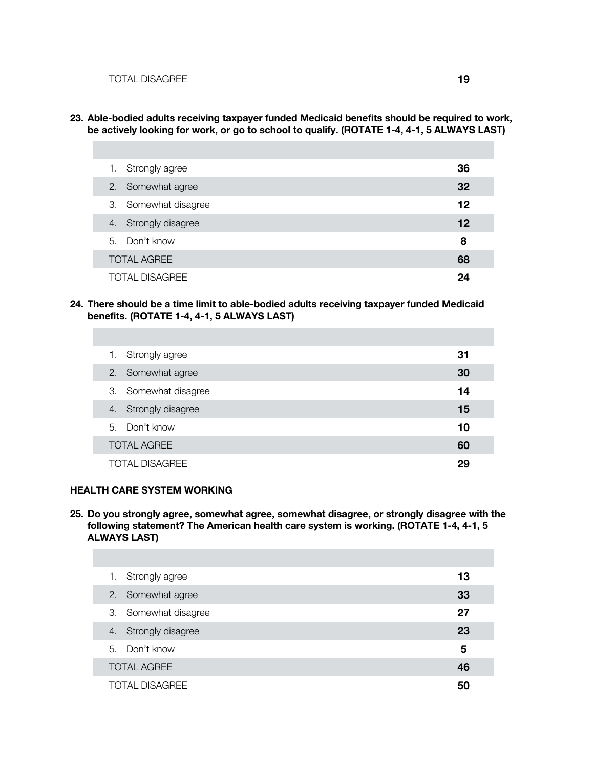**23. Able-bodied adults receiving taxpayer funded Medicaid benefits should be required to work, be actively looking for work, or go to school to qualify. (ROTATE 1-4, 4-1, 5 ALWAYS LAST)**

| Strongly agree<br>1.  | 36 |
|-----------------------|----|
| 2. Somewhat agree     | 32 |
| 3. Somewhat disagree  | 12 |
| 4. Strongly disagree  | 12 |
| 5. Don't know         | 8  |
| <b>TOTAL AGREE</b>    | 68 |
| <b>TOTAL DISAGREE</b> | 24 |

**24. There should be a time limit to able-bodied adults receiving taxpayer funded Medicaid benefits. (ROTATE 1-4, 4-1, 5 ALWAYS LAST)**

| 1. Strongly agree     | 31 |
|-----------------------|----|
| 2. Somewhat agree     | 30 |
| 3. Somewhat disagree  | 14 |
| 4. Strongly disagree  | 15 |
| 5. Don't know         | 10 |
| <b>TOTAL AGREE</b>    | 60 |
| <b>TOTAL DISAGREE</b> | 29 |

### **HEALTH CARE SYSTEM WORKING**

**25. Do you strongly agree, somewhat agree, somewhat disagree, or strongly disagree with the following statement? The American health care system is working. (ROTATE 1-4, 4-1, 5 ALWAYS LAST)**

| Strongly agree<br>1.    | 13 |
|-------------------------|----|
| 2. Somewhat agree       | 33 |
| 3. Somewhat disagree    | 27 |
| Strongly disagree<br>4. | 23 |
| 5. Don't know           | 5  |
| <b>TOTAL AGREE</b>      | 46 |
| <b>TOTAL DISAGREE</b>   | 50 |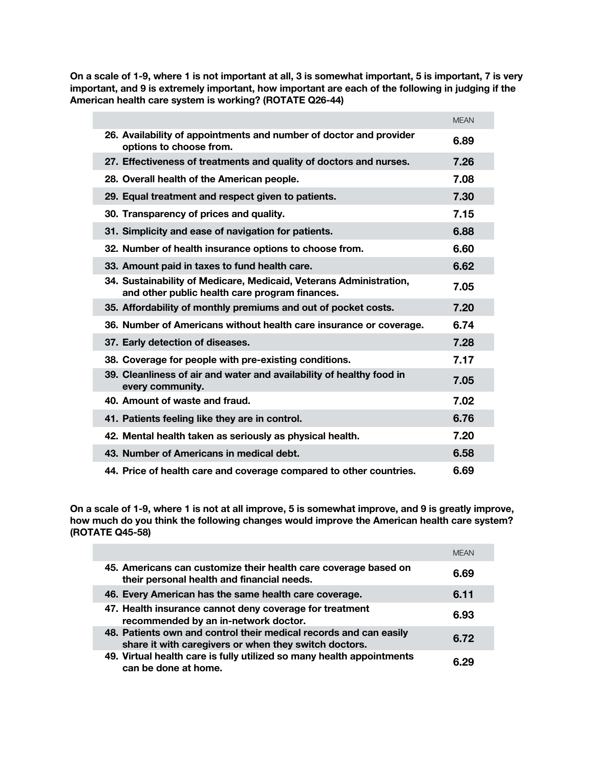**On a scale of 1-9, where 1 is not important at all, 3 is somewhat important, 5 is important, 7 is very important, and 9 is extremely important, how important are each of the following in judging if the American health care system is working? (ROTATE Q26-44)**

|                                                                                                                      | <b>MEAN</b> |
|----------------------------------------------------------------------------------------------------------------------|-------------|
| 26. Availability of appointments and number of doctor and provider<br>options to choose from.                        | 6.89        |
| 27. Effectiveness of treatments and quality of doctors and nurses.                                                   | 7.26        |
| 28. Overall health of the American people.                                                                           | 7.08        |
| 29. Equal treatment and respect given to patients.                                                                   | 7.30        |
| 30. Transparency of prices and quality.                                                                              | 7.15        |
| 31. Simplicity and ease of navigation for patients.                                                                  | 6.88        |
| 32. Number of health insurance options to choose from.                                                               | 6.60        |
| 33. Amount paid in taxes to fund health care.                                                                        | 6.62        |
| 34. Sustainability of Medicare, Medicaid, Veterans Administration,<br>and other public health care program finances. | 7.05        |
| 35. Affordability of monthly premiums and out of pocket costs.                                                       | 7.20        |
| 36. Number of Americans without health care insurance or coverage.                                                   | 6.74        |
| 37. Early detection of diseases.                                                                                     | 7.28        |
| 38. Coverage for people with pre-existing conditions.                                                                | 7.17        |
| 39. Cleanliness of air and water and availability of healthy food in<br>every community.                             | 7.05        |
| 40. Amount of waste and fraud.                                                                                       | 7.02        |
| 41. Patients feeling like they are in control.                                                                       | 6.76        |
| 42. Mental health taken as seriously as physical health.                                                             | 7.20        |
| 43. Number of Americans in medical debt.                                                                             | 6.58        |
| 44. Price of health care and coverage compared to other countries.                                                   | 6.69        |

**On a scale of 1-9, where 1 is not at all improve, 5 is somewhat improve, and 9 is greatly improve, how much do you think the following changes would improve the American health care system? (ROTATE Q45-58)**

|                                                                                                                            | <b>MFAN</b> |
|----------------------------------------------------------------------------------------------------------------------------|-------------|
| 45. Americans can customize their health care coverage based on<br>their personal health and financial needs.              | 6.69        |
| 46. Every American has the same health care coverage.                                                                      | 6.11        |
| 47. Health insurance cannot deny coverage for treatment<br>recommended by an in-network doctor.                            | 6.93        |
| 48. Patients own and control their medical records and can easily<br>share it with caregivers or when they switch doctors. | 6.72        |
| 49. Virtual health care is fully utilized so many health appointments<br>can be done at home.                              | ն 29        |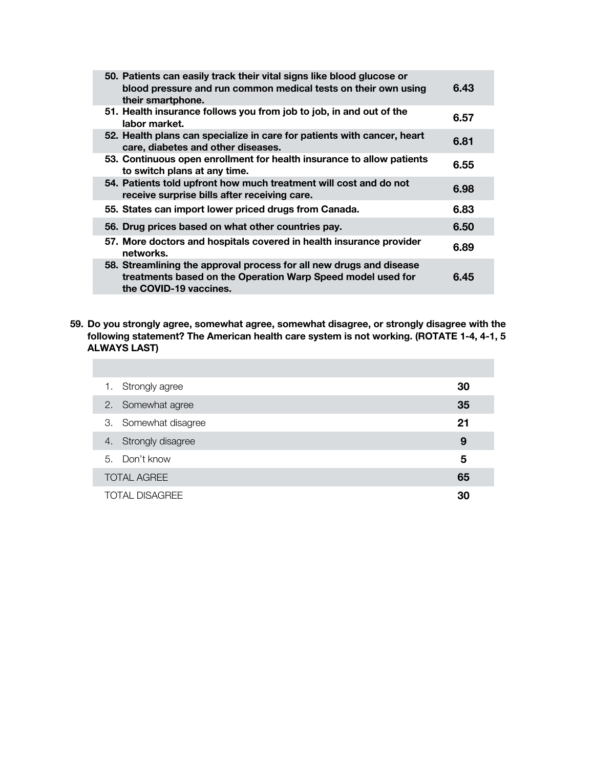| 50. Patients can easily track their vital signs like blood glucose or<br>blood pressure and run common medical tests on their own using<br>their smartphone. | 6.43 |
|--------------------------------------------------------------------------------------------------------------------------------------------------------------|------|
| 51. Health insurance follows you from job to job, in and out of the<br>labor market.                                                                         | 6.57 |
| 52. Health plans can specialize in care for patients with cancer, heart<br>care, diabetes and other diseases.                                                | 6.81 |
| 53. Continuous open enrollment for health insurance to allow patients<br>to switch plans at any time.                                                        | 6.55 |
| 54. Patients told upfront how much treatment will cost and do not<br>receive surprise bills after receiving care.                                            | 6.98 |
| 55. States can import lower priced drugs from Canada.                                                                                                        | 6.83 |
| 56. Drug prices based on what other countries pay.                                                                                                           | 6.50 |
| 57. More doctors and hospitals covered in health insurance provider<br>networks.                                                                             | 6.89 |
| 58. Streamlining the approval process for all new drugs and disease<br>treatments based on the Operation Warp Speed model used for<br>the COVID-19 vaccines. | 6.45 |

**59. Do you strongly agree, somewhat agree, somewhat disagree, or strongly disagree with the following statement? The American health care system is not working. (ROTATE 1-4, 4-1, 5 ALWAYS LAST)**

| 1. Strongly agree     | 30 |
|-----------------------|----|
| 2. Somewhat agree     | 35 |
| 3. Somewhat disagree  | 21 |
| 4. Strongly disagree  | 9  |
| 5. Don't know         | 5  |
| <b>TOTAL AGREE</b>    | 65 |
| <b>TOTAL DISAGREE</b> | 30 |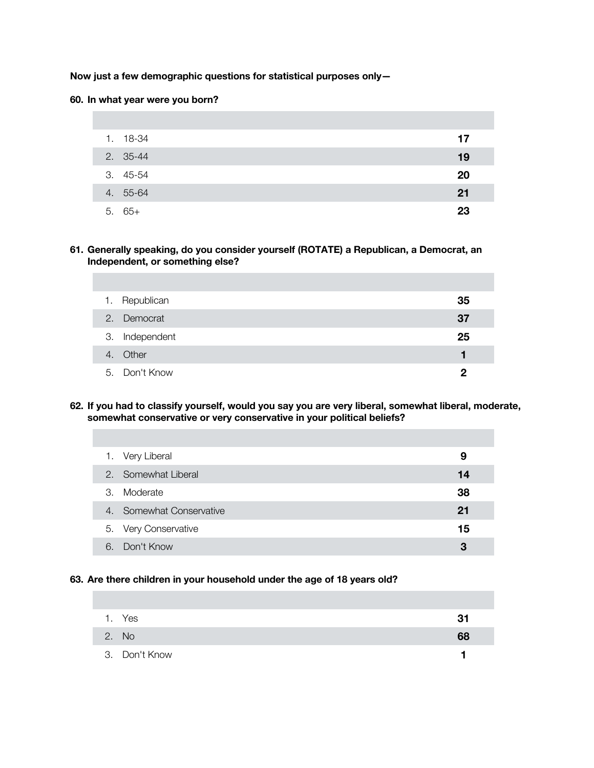**Now just a few demographic questions for statistical purposes only—**

#### **60. In what year were you born?**

| 1. 18-34 | 17 |
|----------|----|
| 2. 35-44 | 19 |
| 3. 45-54 | 20 |
| 4. 55-64 | 21 |
| $5.65+$  | 23 |

**61. Generally speaking, do you consider yourself (ROTATE) a Republican, a Democrat, an Independent, or something else?**

| 1. Republican  | 35 |
|----------------|----|
| 2. Democrat    | 37 |
| 3. Independent | 25 |
| 4. Other       |    |
| 5. Don't Know  |    |

**62. If you had to classify yourself, would you say you are very liberal, somewhat liberal, moderate, somewhat conservative or very conservative in your political beliefs?**

|    | 1. Very Liberal          | 9  |
|----|--------------------------|----|
|    | 2. Somewhat Liberal      | 14 |
| 3. | Moderate                 | 38 |
|    | 4. Somewhat Conservative | 21 |
|    | 5. Very Conservative     | 15 |
| 6  | Don't Know               | З  |

#### **63. Are there children in your household under the age of 18 years old?**

| 1. Yes        | 3 <sup>1</sup> |
|---------------|----------------|
| 2. No         | 68             |
| 3. Don't Know |                |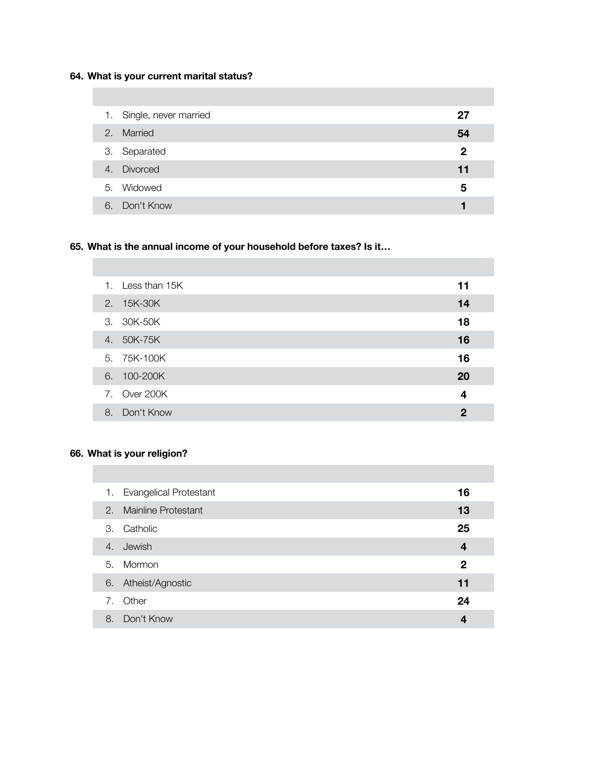# **64. What is your current marital status?**

| 1. Single, never married | 27           |
|--------------------------|--------------|
| 2. Married               | 54           |
| 3. Separated             | $\mathbf{2}$ |
| 4. Divorced              | 11           |
| 5. Widowed               | 5            |
| 6. Don't Know            |              |

# **65. What is the annual income of your household before taxes? Is it…**

|    | 1. Less than 15K | 11           |
|----|------------------|--------------|
|    | 2. 15K-30K       | 14           |
|    | 3. 30K-50K       | 18           |
| 4. | 50K-75K          | 16           |
|    | 5. 75K-100K      | 16           |
|    | 6. 100-200K      | 20           |
|    | 7. Over 200K     | 4            |
| 8. | Don't Know       | $\mathbf{2}$ |

## **66. What is your religion?**

|    | 1. Evangelical Protestant | 16                      |
|----|---------------------------|-------------------------|
|    | 2. Mainline Protestant    | 13                      |
| 3. | Catholic                  | 25                      |
| 4. | Jewish                    | $\overline{\mathbf{4}}$ |
| 5. | Mormon                    | $\mathbf{2}$            |
| 6. | Atheist/Agnostic          | 11                      |
| 7. | Other                     | 24                      |
| 8. | Don't Know                | 4                       |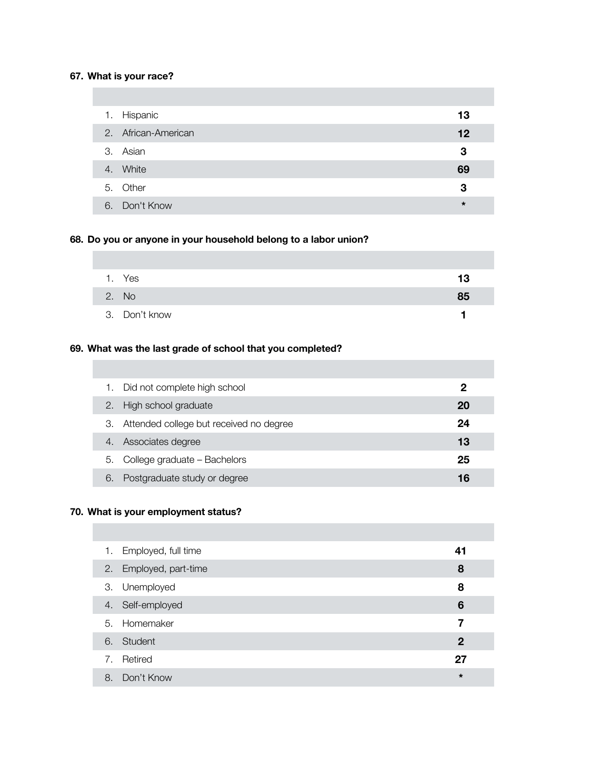## **67. What is your race?**

|    | 1. Hispanic         | 13      |
|----|---------------------|---------|
|    | 2. African-American | 12      |
|    | 3. Asian            | 3       |
|    | 4. White            | 69      |
|    | 5. Other            | 3       |
| 6. | Don't Know          | $\star$ |

## **68. Do you or anyone in your household belong to a labor union?**

| Yes           | 13 |
|---------------|----|
| 2. No         | 85 |
| 3. Don't know |    |

# **69. What was the last grade of school that you completed?**

|    | Did not complete high school               | 2  |
|----|--------------------------------------------|----|
|    | 2. High school graduate                    | 20 |
|    | 3. Attended college but received no degree | 24 |
|    | Associates degree                          | 13 |
| 5. | College graduate - Bachelors               | 25 |
| 6. | Postgraduate study or degree               | 16 |

## **70. What is your employment status?**

| 1. Employed, full time | 41          |
|------------------------|-------------|
| 2. Employed, part-time | 8           |
| 3. Unemployed          | 8           |
| 4. Self-employed       | 6           |
| 5. Homemaker           |             |
| 6. Student             | $\mathbf 2$ |
| 7. Retired             | 27          |
| 8. Don't Know          | $\star$     |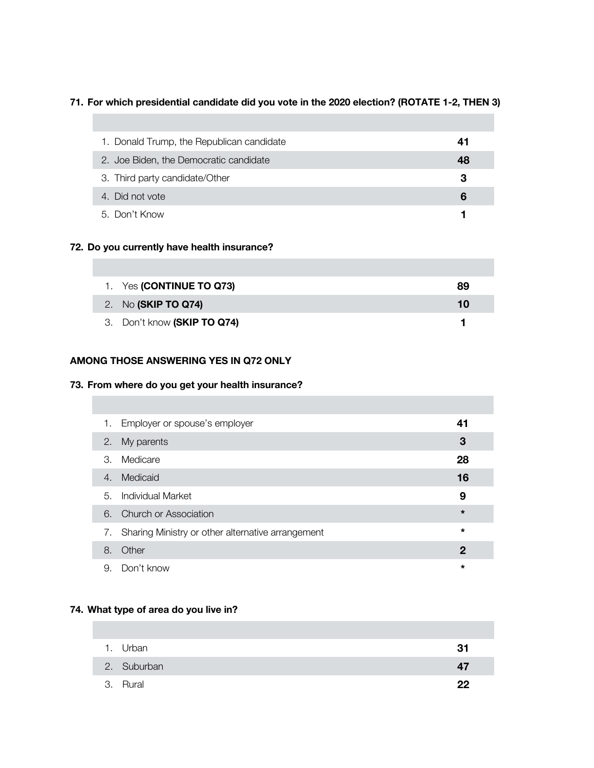## **71. For which presidential candidate did you vote in the 2020 election? (ROTATE 1-2, THEN 3)**

| 1. Donald Trump, the Republican candidate | 41 |
|-------------------------------------------|----|
| 2. Joe Biden, the Democratic candidate    | 48 |
| 3. Third party candidate/Other            | З  |
| 4. Did not vote                           | 6  |
| 5. Don't Know                             |    |

### **72. Do you currently have health insurance?**

| 1. Yes (CONTINUE TO Q73)    | 89 |
|-----------------------------|----|
| 2. No (SKIP TO Q74)         | 10 |
| 3. Don't know (SKIP TO Q74) |    |

### **AMONG THOSE ANSWERING YES IN Q72 ONLY**

### **73. From where do you get your health insurance?**

| 1. | Employer or spouse's employer                     | 41      |
|----|---------------------------------------------------|---------|
| 2. | My parents                                        | 3       |
| 3. | Medicare                                          | 28      |
| 4. | Medicaid                                          | 16      |
| 5. | <b>Individual Market</b>                          | 9       |
|    | 6. Church or Association                          | $\star$ |
| 7. | Sharing Ministry or other alternative arrangement | $\star$ |
| 8. | Other                                             | 2       |
| 9. | Don't know                                        | $\star$ |

## **74. What type of area do you live in?**

| 1. Urban    | .31 |
|-------------|-----|
| 2. Suburban | 4/  |
| 3. Rural    | 22  |